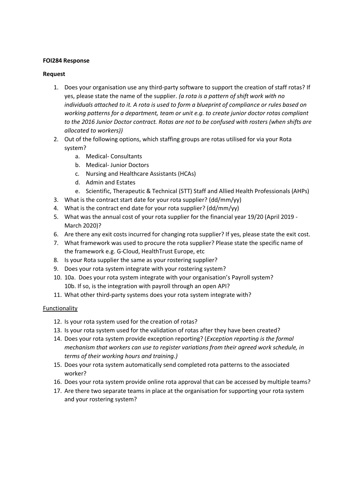## **FOI284 Response**

## **Request**

- 1. Does your organisation use any third-party software to support the creation of staff rotas? If yes, please state the name of the supplier. *(a rota is a pattern of shift work with no individuals attached to it. A rota is used to form a blueprint of compliance or rules based on working patterns for a department, team or unit e.g. to create junior doctor rotas compliant to the 2016 Junior Doctor contract. Rotas are not to be confused with rosters (when shifts are allocated to workers))*
- 2. Out of the following options, which staffing groups are rotas utilised for via your Rota system?
	- a. Medical- Consultants
	- b. Medical- Junior Doctors
	- c. Nursing and Healthcare Assistants (HCAs)
	- d. Admin and Estates
	- e. Scientific, Therapeutic & Technical (STT) Staff and Allied Health Professionals (AHPs)
- 3. What is the contract start date for your rota supplier? (dd/mm/yy)
- 4. What is the contract end date for your rota supplier? (dd/mm/yy)
- 5. What was the annual cost of your rota supplier for the financial year 19/20 (April 2019 March 2020)?
- 6. Are there any exit costs incurred for changing rota supplier? If yes, please state the exit cost.
- 7. What framework was used to procure the rota supplier? Please state the specific name of the framework e.g. G-Cloud, HealthTrust Europe, etc
- 8. Is your Rota supplier the same as your rostering supplier?
- 9. Does your rota system integrate with your rostering system?
- 10. 10a. Does your rota system integrate with your organisation's Payroll system? 10b. If so, is the integration with payroll through an open API?
- 11. What other third-party systems does your rota system integrate with?

# Functionality

- 12. Is your rota system used for the creation of rotas?
- 13. Is your rota system used for the validation of rotas after they have been created?
- 14. Does your rota system provide exception reporting? (*Exception reporting is the formal mechanism that workers can use to register variations from their agreed work schedule, in terms of their working hours and training.)*
- 15. Does your rota system automatically send completed rota patterns to the associated worker?
- 16. Does your rota system provide online rota approval that can be accessed by multiple teams?
- 17. Are there two separate teams in place at the organisation for supporting your rota system and your rostering system?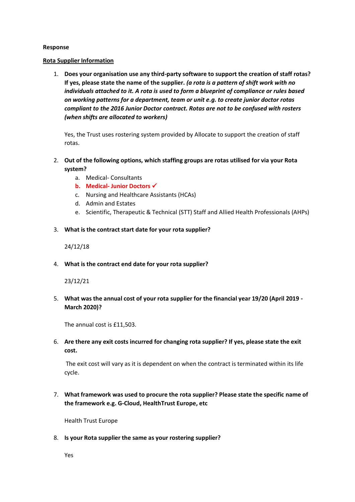### **Response**

#### **Rota Supplier Information**

1. **Does your organisation use any third-party software to support the creation of staff rotas? If yes, please state the name of the supplier.** *(a rota is a pattern of shift work with no individuals attached to it. A rota is used to form a blueprint of compliance or rules based on working patterns for a department, team or unit e.g. to create junior doctor rotas compliant to the 2016 Junior Doctor contract. Rotas are not to be confused with rosters (when shifts are allocated to workers)*

Yes, the Trust uses rostering system provided by Allocate to support the creation of staff rotas.

- 2. **Out of the following options, which staffing groups are rotas utilised for via your Rota system?** 
	- a. Medical- Consultants
	- **b. Medical- Junior Doctors** ✓
	- c. Nursing and Healthcare Assistants (HCAs)
	- d. Admin and Estates
	- e. Scientific, Therapeutic & Technical (STT) Staff and Allied Health Professionals (AHPs)
- 3. **What is the contract start date for your rota supplier?**

## 24/12/18

4. **What is the contract end date for your rota supplier?**

## 23/12/21

5. **What was the annual cost of your rota supplier for the financial year 19/20 (April 2019 - March 2020)?**

The annual cost is £11,503.

6. **Are there any exit costs incurred for changing rota supplier? If yes, please state the exit cost.**

The exit cost will vary as it is dependent on when the contract is terminated within its life cycle.

7. **What framework was used to procure the rota supplier? Please state the specific name of the framework e.g. G-Cloud, HealthTrust Europe, etc** 

Health Trust Europe

8. **Is your Rota supplier the same as your rostering supplier?**

Yes